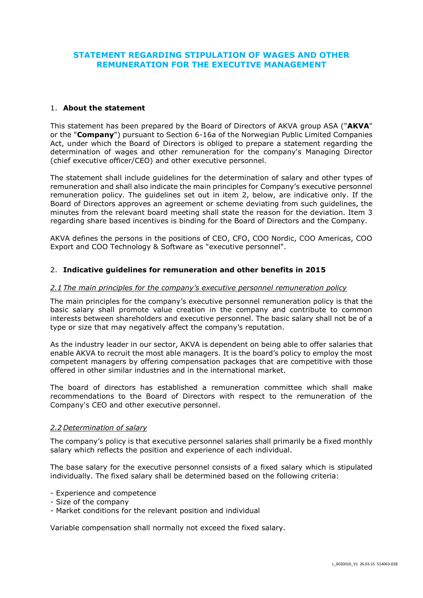# **STATEMENT REGARDING STIPULATION OF WAGES AND OTHER REMUNERATION FOR THE EXECUTIVE MANAGEMENT**

### 1. **About the statement**

This statement has been prepared by the Board of Directors of AKVA group ASA ("**AKVA**" or the "**Company**") pursuant to Section 6-16a of the Norwegian Public Limited Companies Act, under which the Board of Directors is obliged to prepare a statement regarding the determination of wages and other remuneration for the company's Managing Director (chief executive officer/CEO) and other executive personnel.

The statement shall include guidelines for the determination of salary and other types of remuneration and shall also indicate the main principles for Company's executive personnel remuneration policy. The guidelines set out in item 2, below, are indicative only. If the Board of Directors approves an agreement or scheme deviating from such guidelines, the minutes from the relevant board meeting shall state the reason for the deviation. Item 3 regarding share based incentives is binding for the Board of Directors and the Company.

AKVA defines the persons in the positions of CEO, CFO, COO Nordic, COO Americas, COO Export and COO Technology & Software as "executive personnel".

### 2. **Indicative guidelines for remuneration and other benefits in 2015**

#### *2.1 The main principles for the company's executive personnel remuneration policy*

The main principles for the company's executive personnel remuneration policy is that the basic salary shall promote value creation in the company and contribute to common interests between shareholders and executive personnel. The basic salary shall not be of a type or size that may negatively affect the company's reputation.

As the industry leader in our sector, AKVA is dependent on being able to offer salaries that enable AKVA to recruit the most able managers. It is the board's policy to employ the most competent managers by offering compensation packages that are competitive with those offered in other similar industries and in the international market.

The board of directors has established a remuneration committee which shall make recommendations to the Board of Directors with respect to the remuneration of the Company's CEO and other executive personnel.

### *2.2 Determination of salary*

The company's policy is that executive personnel salaries shall primarily be a fixed monthly salary which reflects the position and experience of each individual.

The base salary for the executive personnel consists of a fixed salary which is stipulated individually. The fixed salary shall be determined based on the following criteria:

- Experience and competence
- Size of the company
- Market conditions for the relevant position and individual

Variable compensation shall normally not exceed the fixed salary.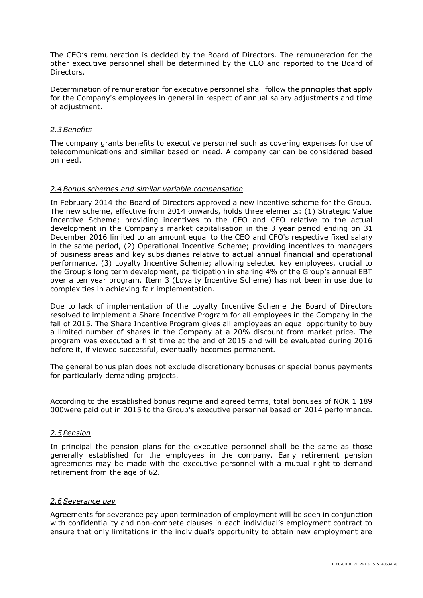The CEO's remuneration is decided by the Board of Directors. The remuneration for the other executive personnel shall be determined by the CEO and reported to the Board of Directors.

Determination of remuneration for executive personnel shall follow the principles that apply for the Company's employees in general in respect of annual salary adjustments and time of adjustment.

## *2.3Benefits*

The company grants benefits to executive personnel such as covering expenses for use of telecommunications and similar based on need. A company car can be considered based on need.

## *2.4Bonus schemes and similar variable compensation*

In February 2014 the Board of Directors approved a new incentive scheme for the Group. The new scheme, effective from 2014 onwards, holds three elements: (1) Strategic Value Incentive Scheme; providing incentives to the CEO and CFO relative to the actual development in the Company's market capitalisation in the 3 year period ending on 31 December 2016 limited to an amount equal to the CEO and CFO's respective fixed salary in the same period, (2) Operational Incentive Scheme; providing incentives to managers of business areas and key subsidiaries relative to actual annual financial and operational performance, (3) Loyalty Incentive Scheme; allowing selected key employees, crucial to the Group's long term development, participation in sharing 4% of the Group's annual EBT over a ten year program. Item 3 (Loyalty Incentive Scheme) has not been in use due to complexities in achieving fair implementation.

Due to lack of implementation of the Loyalty Incentive Scheme the Board of Directors resolved to implement a Share Incentive Program for all employees in the Company in the fall of 2015. The Share Incentive Program gives all employees an equal opportunity to buy a limited number of shares in the Company at a 20% discount from market price. The program was executed a first time at the end of 2015 and will be evaluated during 2016 before it, if viewed successful, eventually becomes permanent.

The general bonus plan does not exclude discretionary bonuses or special bonus payments for particularly demanding projects.

According to the established bonus regime and agreed terms, total bonuses of NOK 1 189 000were paid out in 2015 to the Group's executive personnel based on 2014 performance.

### *2.5 Pension*

In principal the pension plans for the executive personnel shall be the same as those generally established for the employees in the company. Early retirement pension agreements may be made with the executive personnel with a mutual right to demand retirement from the age of 62.

## *2.6 Severance pay*

Agreements for severance pay upon termination of employment will be seen in conjunction with confidentiality and non-compete clauses in each individual's employment contract to ensure that only limitations in the individual's opportunity to obtain new employment are